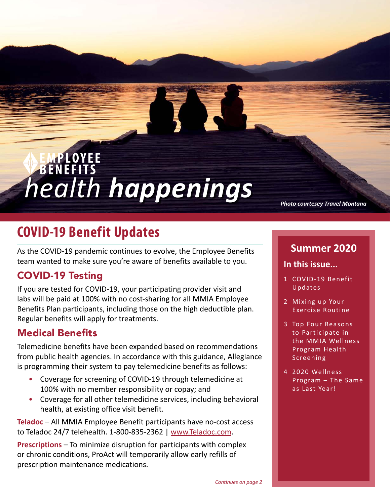# *health happenings*

*Photo courtesey Travel Montana*

# **COVID-19 Benefit Updates**

As the COVID-19 pandemic continues to evolve, the Employee Benefits team wanted to make sure you're aware of benefits available to you.

## COVID-19 Testing

If you are tested for COVID-19, your participating provider visit and labs will be paid at 100% with no cost-sharing for all MMIA Employee Benefits Plan participants, including those on the high deductible plan. Regular benefits will apply for treatments.

#### Medical Benefits

Telemedicine benefits have been expanded based on recommendations from public health agencies. In accordance with this guidance, Allegiance is programming their system to pay telemedicine benefits as follows:

- Coverage for screening of COVID-19 through telemedicine at 100% with no member responsibility or copay; and
- Coverage for all other telemedicine services, including behavioral health, at existing office visit benefit.

**Teladoc** – All MMIA Employee Benefit participants have no-cost access to Teladoc 24/7 telehealth. 1-800-835-2362 | [www.Teladoc.com](http://www.Teladoc.com).

**Prescriptions** – To minimize disruption for participants with complex or chronic conditions, ProAct will temporarily allow early refills of prescription maintenance medications.

#### **Summer 2020**

#### **In this issue...**

- 1 COVID-19 Benefit Updates
- 2 [Mixing up Your](#page-1-0)  [Exercise Routine](#page-1-0)
- 3 [Top Four Reasons](#page-2-0)  [to Participate in](#page-2-0)  [the MMIA Wellness](#page-2-0)  [Program Health](#page-2-0)  [Screening](#page-2-0)
- 4 [2020 Wellness](#page-3-0)  [Program – The Same](#page-3-0)  [as Last Year!](#page-3-0)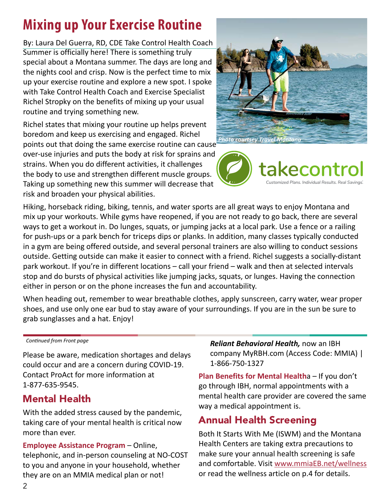# <span id="page-1-0"></span>**Mixing up Your Exercise Routine**

Summer is officially here! There is something truly special about a Montana summer. The days are long and the nights cool and crisp. Now is the perfect time to mix up your exercise routine and explore a new spot. I spoke with Take Control Health Coach and Exercise Specialist Richel Stropky on the benefits of mixing up your usual routine and trying something new. By: Laura Del Guerra, RD, CDE Take Control Health Coach

Richel states that mixing your routine up helps prevent boredom and keep us exercising and engaged. Richel

points out that doing the same exercise routine can cause over-use injuries and puts the body at risk for sprains and strains. When you do different activities, it challenges the body to use and strengthen different muscle groups. Taking up something new this summer will decrease that risk and broaden your physical abilities.





Hiking, horseback riding, biking, tennis, and water sports are all great ways to enjoy Montana and mix up your workouts. While gyms have reopened, if you are not ready to go back, there are several ways to get a workout in. Do lunges, squats, or jumping jacks at a local park. Use a fence or a railing for push-ups or a park bench for triceps dips or planks. In addition, many classes typically conducted in a gym are being offered outside, and several personal trainers are also willing to conduct sessions outside. Getting outside can make it easier to connect with a friend. Richel suggests a socially-distant park workout. If you're in different locations – call your friend – walk and then at selected intervals stop and do bursts of physical activities like jumping jacks, squats, or lunges. Having the connection either in person or on the phone increases the fun and accountability.

When heading out, remember to wear breathable clothes, apply sunscreen, carry water, wear proper shoes, and use only one ear bud to stay aware of your surroundings. If you are in the sun be sure to grab sunglasses and a hat. Enjoy!

*Continued from Front page*

Please be aware, medication shortages and delays could occur and are a concern during COVID-19. Contact ProAct for more information at 1-877-635-9545.

#### Mental Health

With the added stress caused by the pandemic, taking care of your mental health is critical now more than ever.

**Employee Assistance Program** – Online, telephonic, and in-person counseling at NO-COST to you and anyone in your household, whether they are on an MMIA medical plan or not!

*Reliant Behavioral Health,* now an IBH company [MyRBH.com](http://MyRBH.com) (Access Code: MMIA) | 1-866-750-1327

**Plan Benefits for Mental Health**a – If you don't go through IBH, normal appointments with a mental health care provider are covered the same way a medical appointment is.

## Annual Health Screening

Both It Starts With Me (ISWM) and the Montana Health Centers are taking extra precautions to make sure your annual health screening is safe and comfortable. Visit [www.mmiaEB.net/wellness](https://www.mmiaEB.net/wellness) or read the wellness article on p.4 for details.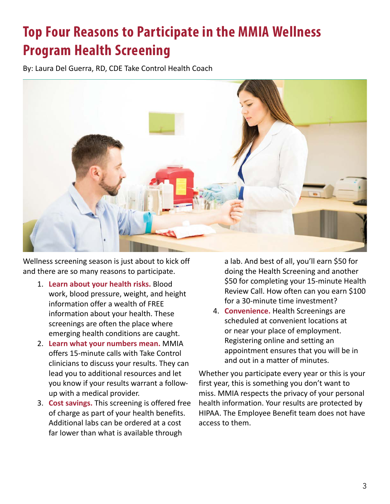# <span id="page-2-0"></span>**Top Four Reasons to Participate in the MMIA Wellness Program Health Screening**

By: Laura Del Guerra, RD, CDE Take Control Health Coach



Wellness screening season is just about to kick off and there are so many reasons to participate.

- 1. **Learn about your health risks.** Blood work, blood pressure, weight, and height information offer a wealth of FREE information about your health. These screenings are often the place where emerging health conditions are caught.
- 2. **Learn what your numbers mean.** MMIA offers 15-minute calls with Take Control clinicians to discuss your results. They can lead you to additional resources and let you know if your results warrant a followup with a medical provider.
- 3. **Cost savings.** This screening is offered free of charge as part of your health benefits. Additional labs can be ordered at a cost far lower than what is available through

a lab. And best of all, you'll earn \$50 for doing the Health Screening and another \$50 for completing your 15-minute Health Review Call. How often can you earn \$100 for a 30-minute time investment?

4. **Convenience.** Health Screenings are scheduled at convenient locations at or near your place of employment. Registering online and setting an appointment ensures that you will be in and out in a matter of minutes.

Whether you participate every year or this is your first year, this is something you don't want to miss. MMIA respects the privacy of your personal health information. Your results are protected by HIPAA. The Employee Benefit team does not have access to them.